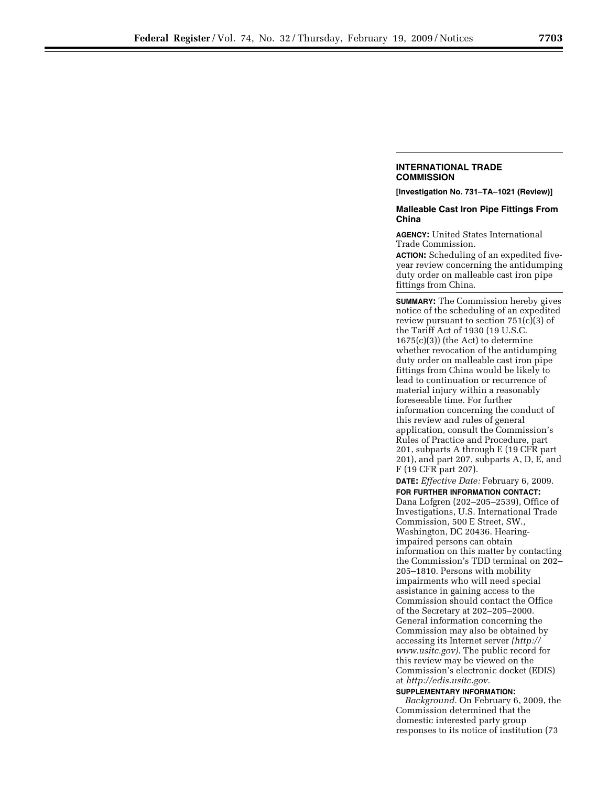## **INTERNATIONAL TRADE COMMISSION**

**[Investigation No. 731–TA–1021 (Review)]** 

## **Malleable Cast Iron Pipe Fittings From China**

**AGENCY:** United States International Trade Commission.

**ACTION:** Scheduling of an expedited fiveyear review concerning the antidumping duty order on malleable cast iron pipe fittings from China.

**SUMMARY:** The Commission hereby gives notice of the scheduling of an expedited review pursuant to section 751(c)(3) of the Tariff Act of 1930 (19 U.S.C. 1675(c)(3)) (the Act) to determine whether revocation of the antidumping duty order on malleable cast iron pipe fittings from China would be likely to lead to continuation or recurrence of material injury within a reasonably foreseeable time. For further information concerning the conduct of this review and rules of general application, consult the Commission's Rules of Practice and Procedure, part 201, subparts A through E (19 CFR part 201), and part 207, subparts A, D, E, and F (19 CFR part 207).

**DATE:** *Effective Date:* February 6, 2009. **FOR FURTHER INFORMATION CONTACT:**  Dana Lofgren (202–205–2539), Office of Investigations, U.S. International Trade Commission, 500 E Street, SW., Washington, DC 20436. Hearingimpaired persons can obtain information on this matter by contacting the Commission's TDD terminal on 202– 205–1810. Persons with mobility impairments who will need special assistance in gaining access to the Commission should contact the Office of the Secretary at 202–205–2000. General information concerning the Commission may also be obtained by accessing its Internet server *(http:// www.usitc.gov).* The public record for this review may be viewed on the Commission's electronic docket (EDIS) at *http://edis.usitc.gov.*  **SUPPLEMENTARY INFORMATION:** 

*Background.* On February 6, 2009, the Commission determined that the domestic interested party group responses to its notice of institution (73